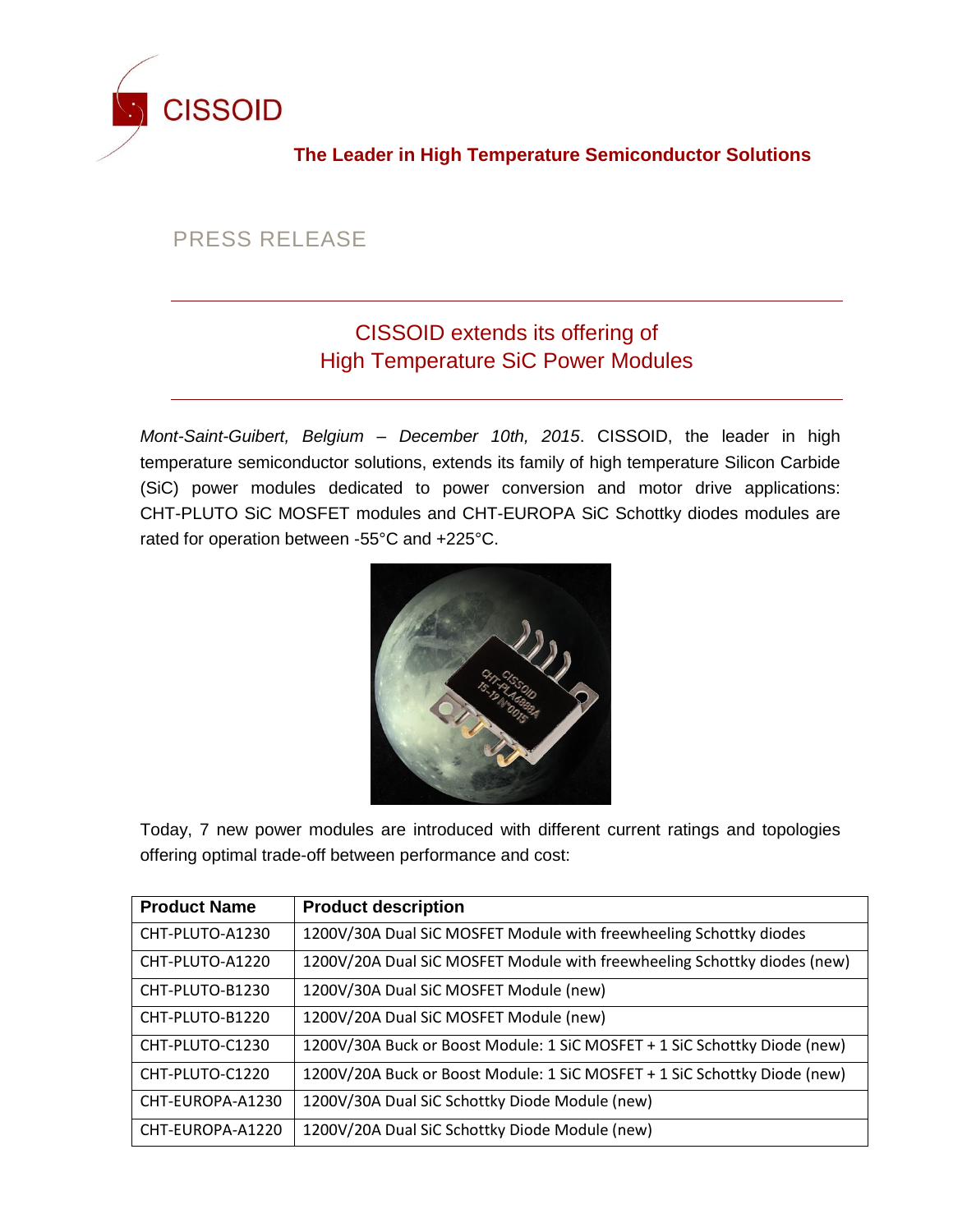

**The Leader in High Temperature Semiconductor Solutions**

## PRESS RELEASE

## CISSOID extends its offering of High Temperature SiC Power Modules

*Mont-Saint-Guibert, Belgium – December 10th, 2015*. CISSOID, the leader in high temperature semiconductor solutions, extends its family of high temperature Silicon Carbide (SiC) power modules dedicated to power conversion and motor drive applications: CHT-PLUTO SiC MOSFET modules and CHT-EUROPA SiC Schottky diodes modules are rated for operation between -55°C and +225°C.



Today, 7 new power modules are introduced with different current ratings and topologies offering optimal trade-off between performance and cost:

| <b>Product Name</b> | <b>Product description</b>                                                |
|---------------------|---------------------------------------------------------------------------|
| CHT-PLUTO-A1230     | 1200V/30A Dual SiC MOSFET Module with freewheeling Schottky diodes        |
| CHT-PLUTO-A1220     | 1200V/20A Dual SiC MOSFET Module with freewheeling Schottky diodes (new)  |
| CHT-PLUTO-B1230     | 1200V/30A Dual SiC MOSFET Module (new)                                    |
| CHT-PLUTO-B1220     | 1200V/20A Dual SiC MOSFET Module (new)                                    |
| CHT-PLUTO-C1230     | 1200V/30A Buck or Boost Module: 1 SiC MOSFET + 1 SiC Schottky Diode (new) |
| CHT-PLUTO-C1220     | 1200V/20A Buck or Boost Module: 1 SiC MOSFET + 1 SiC Schottky Diode (new) |
| CHT-EUROPA-A1230    | 1200V/30A Dual SiC Schottky Diode Module (new)                            |
| CHT-EUROPA-A1220    | 1200V/20A Dual SiC Schottky Diode Module (new)                            |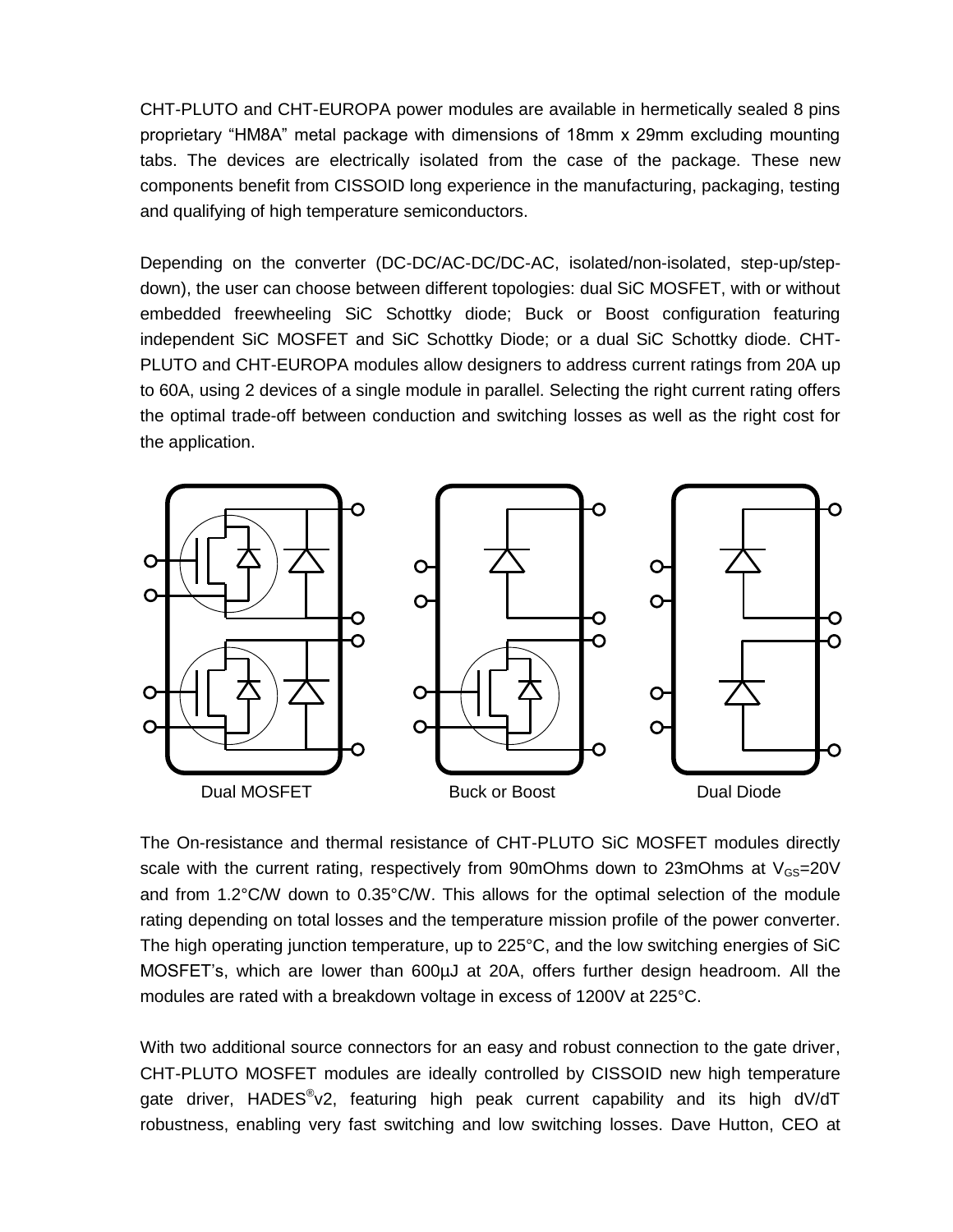CHT-PLUTO and CHT-EUROPA power modules are available in hermetically sealed 8 pins proprietary "HM8A" metal package with dimensions of 18mm x 29mm excluding mounting tabs. The devices are electrically isolated from the case of the package. These new components benefit from CISSOID long experience in the manufacturing, packaging, testing and qualifying of high temperature semiconductors.

Depending on the converter (DC-DC/AC-DC/DC-AC, isolated/non-isolated, step-up/stepdown), the user can choose between different topologies: dual SiC MOSFET, with or without embedded freewheeling SiC Schottky diode; Buck or Boost configuration featuring independent SiC MOSFET and SiC Schottky Diode; or a dual SiC Schottky diode. CHT-PLUTO and CHT-EUROPA modules allow designers to address current ratings from 20A up to 60A, using 2 devices of a single module in parallel. Selecting the right current rating offers the optimal trade-off between conduction and switching losses as well as the right cost for the application.



The On-resistance and thermal resistance of CHT-PLUTO SiC MOSFET modules directly scale with the current rating, respectively from 90mOhms down to 23mOhms at  $V_{GS}=20V$ and from 1.2°C/W down to 0.35°C/W. This allows for the optimal selection of the module rating depending on total losses and the temperature mission profile of the power converter. The high operating junction temperature, up to 225°C, and the low switching energies of SiC MOSFET's, which are lower than 600µJ at 20A, offers further design headroom. All the modules are rated with a breakdown voltage in excess of 1200V at 225°C.

With two additional source connectors for an easy and robust connection to the gate driver, CHT-PLUTO MOSFET modules are ideally controlled by CISSOID new high temperature gate driver, HADES<sup>®</sup>v2, featuring high peak current capability and its high dV/dT robustness, enabling very fast switching and low switching losses. Dave Hutton, CEO at